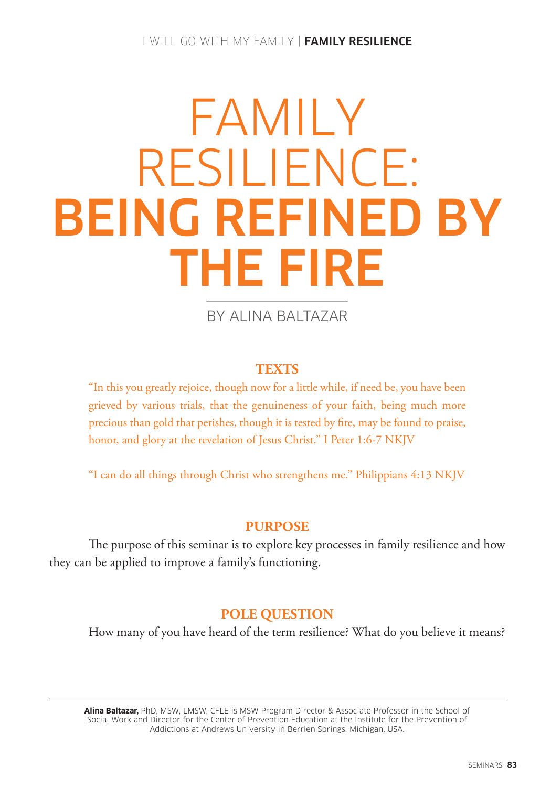## I WILL GO WITH MY FAMILY | FAMILY RESILIENCE

# FAMILY RESILIENCE: BEING REFINED BY THE FIRE

BY ALINA BALTAZAR

# **TEXTS**

"In this you greatly rejoice, though now for a little while, if need be, you have been grieved by various trials, that the genuineness of your faith, being much more precious than gold that perishes, though it is tested by fire, may be found to praise, honor, and glory at the revelation of Jesus Christ." I Peter 1:6-7 NKJV

"I can do all things through Christ who strengthens me." Philippians 4:13 NKJV

# **PURPOSE**

The purpose of this seminar is to explore key processes in family resilience and how they can be applied to improve a family's functioning.

# **POLE QUESTION**

How many of you have heard of the term resilience? What do you believe it means?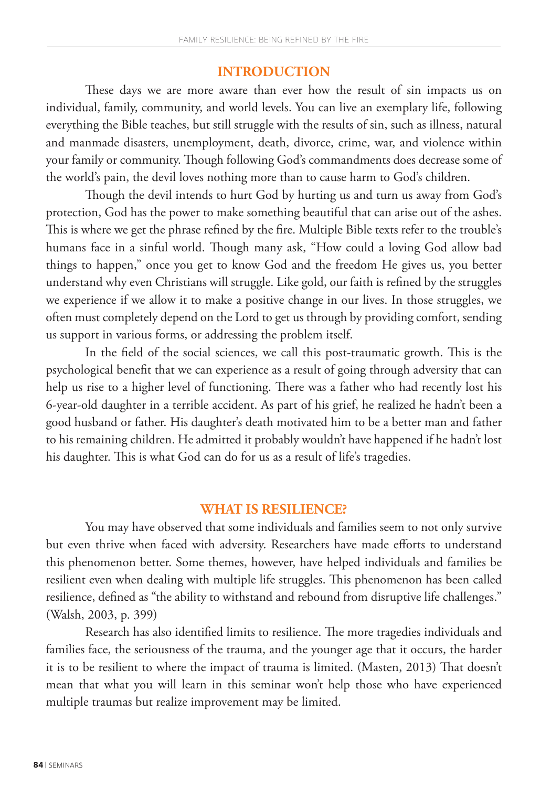## **INTRODUCTION**

These days we are more aware than ever how the result of sin impacts us on individual, family, community, and world levels. You can live an exemplary life, following everything the Bible teaches, but still struggle with the results of sin, such as illness, natural and manmade disasters, unemployment, death, divorce, crime, war, and violence within your family or community. Though following God's commandments does decrease some of the world's pain, the devil loves nothing more than to cause harm to God's children.

Though the devil intends to hurt God by hurting us and turn us away from God's protection, God has the power to make something beautiful that can arise out of the ashes. This is where we get the phrase refined by the fire. Multiple Bible texts refer to the trouble's humans face in a sinful world. Though many ask, "How could a loving God allow bad things to happen," once you get to know God and the freedom He gives us, you better understand why even Christians will struggle. Like gold, our faith is refined by the struggles we experience if we allow it to make a positive change in our lives. In those struggles, we often must completely depend on the Lord to get us through by providing comfort, sending us support in various forms, or addressing the problem itself.

In the field of the social sciences, we call this post-traumatic growth. This is the psychological benefit that we can experience as a result of going through adversity that can help us rise to a higher level of functioning. There was a father who had recently lost his 6-year-old daughter in a terrible accident. As part of his grief, he realized he hadn't been a good husband or father. His daughter's death motivated him to be a better man and father to his remaining children. He admitted it probably wouldn't have happened if he hadn't lost his daughter. This is what God can do for us as a result of life's tragedies.

# **WHAT IS RESILIENCE?**

You may have observed that some individuals and families seem to not only survive but even thrive when faced with adversity. Researchers have made efforts to understand this phenomenon better. Some themes, however, have helped individuals and families be resilient even when dealing with multiple life struggles. This phenomenon has been called resilience, defined as "the ability to withstand and rebound from disruptive life challenges." (Walsh, 2003, p. 399)

Research has also identified limits to resilience. The more tragedies individuals and families face, the seriousness of the trauma, and the younger age that it occurs, the harder it is to be resilient to where the impact of trauma is limited. (Masten, 2013) That doesn't mean that what you will learn in this seminar won't help those who have experienced multiple traumas but realize improvement may be limited.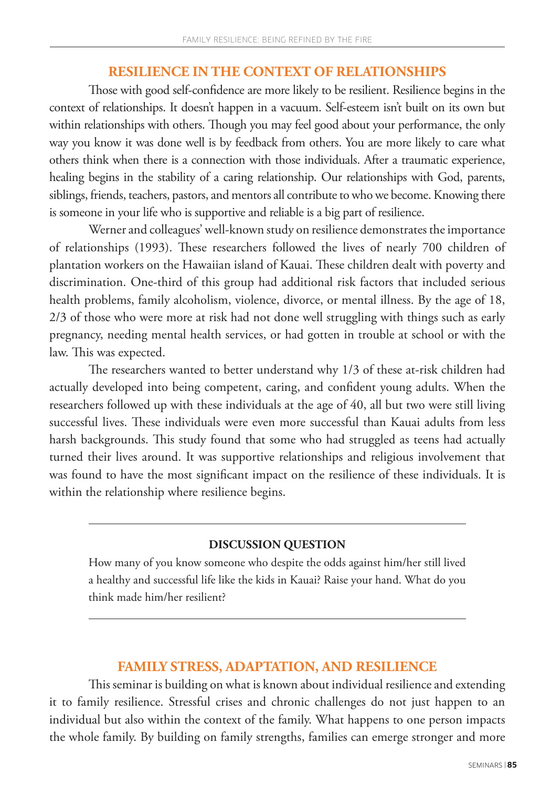## **RESILIENCE IN THE CONTEXT OF RELATIONSHIPS**

Those with good self-confidence are more likely to be resilient. Resilience begins in the context of relationships. It doesn't happen in a vacuum. Self-esteem isn't built on its own but within relationships with others. Though you may feel good about your performance, the only way you know it was done well is by feedback from others. You are more likely to care what others think when there is a connection with those individuals. After a traumatic experience, healing begins in the stability of a caring relationship. Our relationships with God, parents, siblings, friends, teachers, pastors, and mentors all contribute to who we become. Knowing there is someone in your life who is supportive and reliable is a big part of resilience.

Werner and colleagues' well-known study on resilience demonstrates the importance of relationships (1993). These researchers followed the lives of nearly 700 children of plantation workers on the Hawaiian island of Kauai. These children dealt with poverty and discrimination. One-third of this group had additional risk factors that included serious health problems, family alcoholism, violence, divorce, or mental illness. By the age of 18, 2/3 of those who were more at risk had not done well struggling with things such as early pregnancy, needing mental health services, or had gotten in trouble at school or with the law. This was expected.

The researchers wanted to better understand why 1/3 of these at-risk children had actually developed into being competent, caring, and confident young adults. When the researchers followed up with these individuals at the age of 40, all but two were still living successful lives. These individuals were even more successful than Kauai adults from less harsh backgrounds. This study found that some who had struggled as teens had actually turned their lives around. It was supportive relationships and religious involvement that was found to have the most significant impact on the resilience of these individuals. It is within the relationship where resilience begins.

## **DISCUSSION QUESTION**

How many of you know someone who despite the odds against him/her still lived a healthy and successful life like the kids in Kauai? Raise your hand. What do you think made him/her resilient?

# **FAMILY STRESS, ADAPTATION, AND RESILIENCE**

This seminar is building on what is known about individual resilience and extending it to family resilience. Stressful crises and chronic challenges do not just happen to an individual but also within the context of the family. What happens to one person impacts the whole family. By building on family strengths, families can emerge stronger and more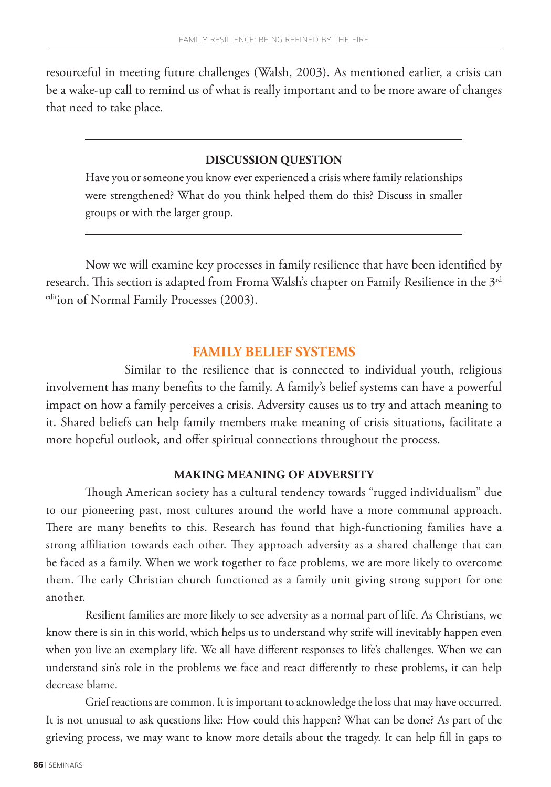resourceful in meeting future challenges (Walsh, 2003). As mentioned earlier, a crisis can be a wake-up call to remind us of what is really important and to be more aware of changes that need to take place.

## **DISCUSSION QUESTION**

Have you or someone you know ever experienced a crisis where family relationships were strengthened? What do you think helped them do this? Discuss in smaller groups or with the larger group.

Now we will examine key processes in family resilience that have been identified by research. This section is adapted from Froma Walsh's chapter on Family Resilience in the 3<sup>rd</sup> edition of Normal Family Processes (2003).

## **FAMILY BELIEF SYSTEMS**

Similar to the resilience that is connected to individual youth, religious involvement has many benefits to the family. A family's belief systems can have a powerful impact on how a family perceives a crisis. Adversity causes us to try and attach meaning to it. Shared beliefs can help family members make meaning of crisis situations, facilitate a more hopeful outlook, and offer spiritual connections throughout the process.

## **MAKING MEANING OF ADVERSITY**

Though American society has a cultural tendency towards "rugged individualism" due to our pioneering past, most cultures around the world have a more communal approach. There are many benefits to this. Research has found that high-functioning families have a strong affiliation towards each other. They approach adversity as a shared challenge that can be faced as a family. When we work together to face problems, we are more likely to overcome them. The early Christian church functioned as a family unit giving strong support for one another.

Resilient families are more likely to see adversity as a normal part of life. As Christians, we know there is sin in this world, which helps us to understand why strife will inevitably happen even when you live an exemplary life. We all have different responses to life's challenges. When we can understand sin's role in the problems we face and react differently to these problems, it can help decrease blame.

Grief reactions are common. It is important to acknowledge the loss that may have occurred. It is not unusual to ask questions like: How could this happen? What can be done? As part of the grieving process, we may want to know more details about the tragedy. It can help fill in gaps to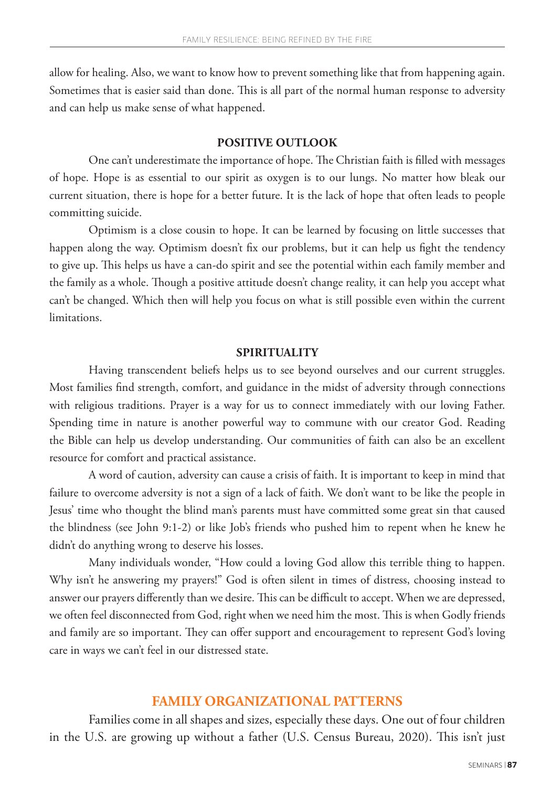allow for healing. Also, we want to know how to prevent something like that from happening again. Sometimes that is easier said than done. This is all part of the normal human response to adversity and can help us make sense of what happened.

## **POSITIVE OUTLOOK**

One can't underestimate the importance of hope. The Christian faith is filled with messages of hope. Hope is as essential to our spirit as oxygen is to our lungs. No matter how bleak our current situation, there is hope for a better future. It is the lack of hope that often leads to people committing suicide.

Optimism is a close cousin to hope. It can be learned by focusing on little successes that happen along the way. Optimism doesn't fix our problems, but it can help us fight the tendency to give up. This helps us have a can-do spirit and see the potential within each family member and the family as a whole. Though a positive attitude doesn't change reality, it can help you accept what can't be changed. Which then will help you focus on what is still possible even within the current limitations.

### **SPIRITUALITY**

Having transcendent beliefs helps us to see beyond ourselves and our current struggles. Most families find strength, comfort, and guidance in the midst of adversity through connections with religious traditions. Prayer is a way for us to connect immediately with our loving Father. Spending time in nature is another powerful way to commune with our creator God. Reading the Bible can help us develop understanding. Our communities of faith can also be an excellent resource for comfort and practical assistance.

A word of caution, adversity can cause a crisis of faith. It is important to keep in mind that failure to overcome adversity is not a sign of a lack of faith. We don't want to be like the people in Jesus' time who thought the blind man's parents must have committed some great sin that caused the blindness (see John 9:1-2) or like Job's friends who pushed him to repent when he knew he didn't do anything wrong to deserve his losses.

Many individuals wonder, "How could a loving God allow this terrible thing to happen. Why isn't he answering my prayers!" God is often silent in times of distress, choosing instead to answer our prayers differently than we desire. This can be difficult to accept. When we are depressed, we often feel disconnected from God, right when we need him the most. This is when Godly friends and family are so important. They can offer support and encouragement to represent God's loving care in ways we can't feel in our distressed state.

## **FAMILY ORGANIZATIONAL PATTERNS**

Families come in all shapes and sizes, especially these days. One out of four children in the U.S. are growing up without a father (U.S. Census Bureau, 2020). This isn't just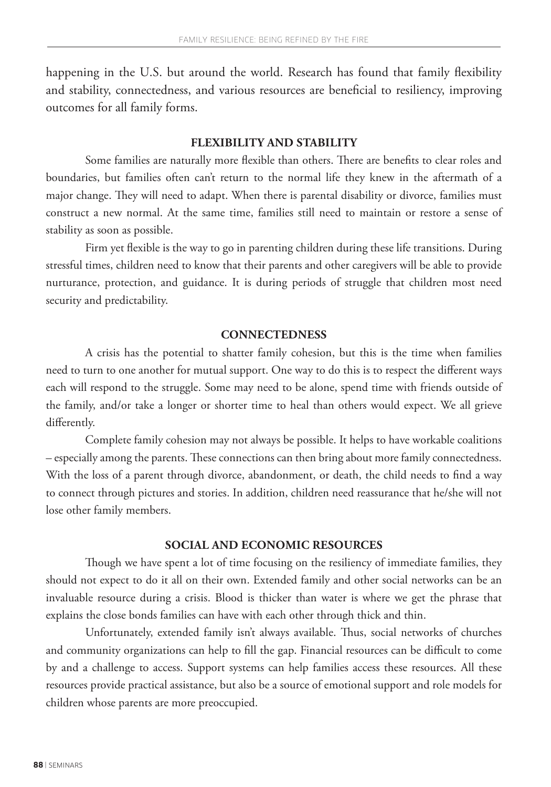happening in the U.S. but around the world. Research has found that family flexibility and stability, connectedness, and various resources are beneficial to resiliency, improving outcomes for all family forms.

#### **FLEXIBILITY AND STABILITY**

Some families are naturally more flexible than others. There are benefits to clear roles and boundaries, but families often can't return to the normal life they knew in the aftermath of a major change. They will need to adapt. When there is parental disability or divorce, families must construct a new normal. At the same time, families still need to maintain or restore a sense of stability as soon as possible.

Firm yet flexible is the way to go in parenting children during these life transitions. During stressful times, children need to know that their parents and other caregivers will be able to provide nurturance, protection, and guidance. It is during periods of struggle that children most need security and predictability.

#### **CONNECTEDNESS**

A crisis has the potential to shatter family cohesion, but this is the time when families need to turn to one another for mutual support. One way to do this is to respect the different ways each will respond to the struggle. Some may need to be alone, spend time with friends outside of the family, and/or take a longer or shorter time to heal than others would expect. We all grieve differently.

Complete family cohesion may not always be possible. It helps to have workable coalitions – especially among the parents. These connections can then bring about more family connectedness. With the loss of a parent through divorce, abandonment, or death, the child needs to find a way to connect through pictures and stories. In addition, children need reassurance that he/she will not lose other family members.

## **SOCIAL AND ECONOMIC RESOURCES**

Though we have spent a lot of time focusing on the resiliency of immediate families, they should not expect to do it all on their own. Extended family and other social networks can be an invaluable resource during a crisis. Blood is thicker than water is where we get the phrase that explains the close bonds families can have with each other through thick and thin.

Unfortunately, extended family isn't always available. Thus, social networks of churches and community organizations can help to fill the gap. Financial resources can be difficult to come by and a challenge to access. Support systems can help families access these resources. All these resources provide practical assistance, but also be a source of emotional support and role models for children whose parents are more preoccupied.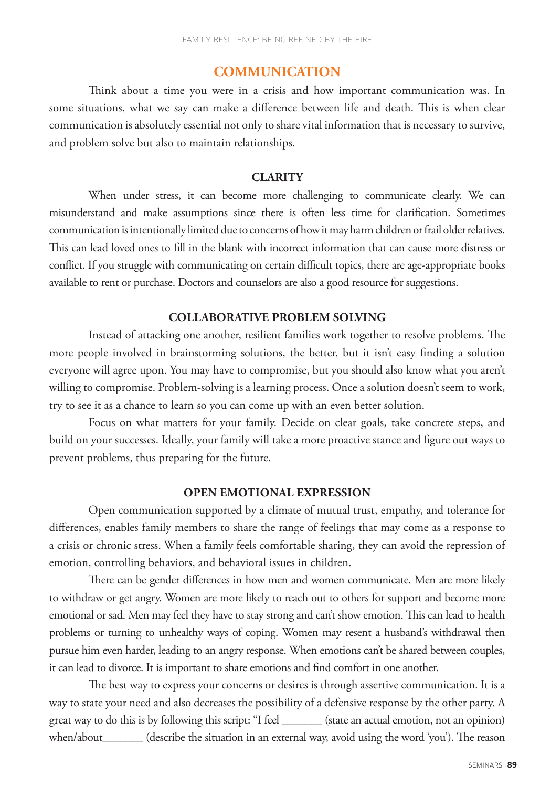# **COMMUNICATION**

Think about a time you were in a crisis and how important communication was. In some situations, what we say can make a difference between life and death. This is when clear communication is absolutely essential not only to share vital information that is necessary to survive, and problem solve but also to maintain relationships.

## **CLARITY**

When under stress, it can become more challenging to communicate clearly. We can misunderstand and make assumptions since there is often less time for clarification. Sometimes communication is intentionally limited due to concerns of how it may harm children or frail older relatives. This can lead loved ones to fill in the blank with incorrect information that can cause more distress or conflict. If you struggle with communicating on certain difficult topics, there are age-appropriate books available to rent or purchase. Doctors and counselors are also a good resource for suggestions.

## **COLLABORATIVE PROBLEM SOLVING**

Instead of attacking one another, resilient families work together to resolve problems. The more people involved in brainstorming solutions, the better, but it isn't easy finding a solution everyone will agree upon. You may have to compromise, but you should also know what you aren't willing to compromise. Problem-solving is a learning process. Once a solution doesn't seem to work, try to see it as a chance to learn so you can come up with an even better solution.

Focus on what matters for your family. Decide on clear goals, take concrete steps, and build on your successes. Ideally, your family will take a more proactive stance and figure out ways to prevent problems, thus preparing for the future.

## **OPEN EMOTIONAL EXPRESSION**

Open communication supported by a climate of mutual trust, empathy, and tolerance for differences, enables family members to share the range of feelings that may come as a response to a crisis or chronic stress. When a family feels comfortable sharing, they can avoid the repression of emotion, controlling behaviors, and behavioral issues in children.

There can be gender differences in how men and women communicate. Men are more likely to withdraw or get angry. Women are more likely to reach out to others for support and become more emotional or sad. Men may feel they have to stay strong and can't show emotion. This can lead to health problems or turning to unhealthy ways of coping. Women may resent a husband's withdrawal then pursue him even harder, leading to an angry response. When emotions can't be shared between couples, it can lead to divorce. It is important to share emotions and find comfort in one another.

The best way to express your concerns or desires is through assertive communication. It is a way to state your need and also decreases the possibility of a defensive response by the other party. A great way to do this is by following this script: "I feel \_\_\_\_\_\_\_ (state an actual emotion, not an opinion) when/about\_\_\_\_\_\_\_ (describe the situation in an external way, avoid using the word 'you'). The reason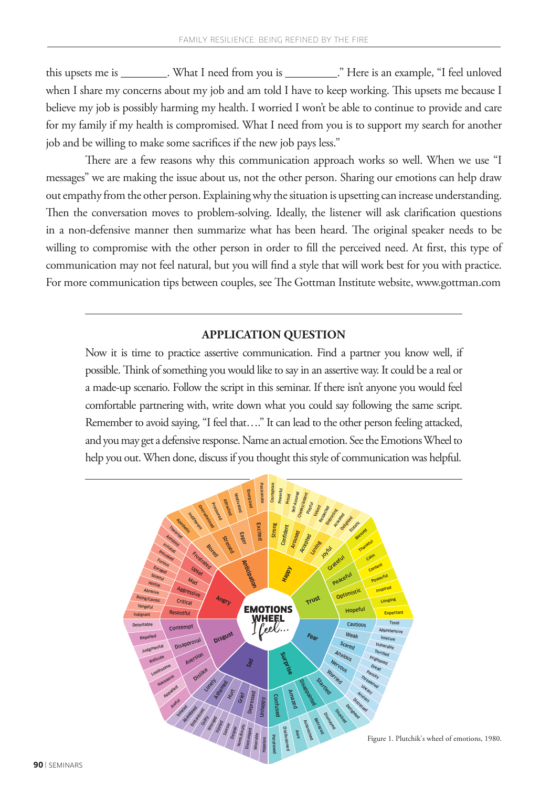this upsets me is \_\_\_\_\_\_\_\_. What I need from you is \_\_\_\_\_\_\_\_\_." Here is an example, "I feel unloved when I share my concerns about my job and am told I have to keep working. This upsets me because I believe my job is possibly harming my health. I worried I won't be able to continue to provide and care for my family if my health is compromised. What I need from you is to support my search for another job and be willing to make some sacrifices if the new job pays less."

There are a few reasons why this communication approach works so well. When we use "I messages" we are making the issue about us, not the other person. Sharing our emotions can help draw out empathy from the other person. Explaining why the situation is upsetting can increase understanding. Then the conversation moves to problem-solving. Ideally, the listener will ask clarification questions in a non-defensive manner then summarize what has been heard. The original speaker needs to be willing to compromise with the other person in order to fill the perceived need. At first, this type of communication may not feel natural, but you will find a style that will work best for you with practice. For more communication tips between couples, see The Gottman Institute website, www.gottman.com

#### **APPLICATION QUESTION**

Now it is time to practice assertive communication. Find a partner you know well, if possible. Think of something you would like to say in an assertive way. It could be a real or a made-up scenario. Follow the script in this seminar. If there isn't anyone you would feel comfortable partnering with, write down what you could say following the same script. Remember to avoid saying, "I feel that…." It can lead to the other person feeling attacked, and you may get a defensive response. Name an actual emotion. See the Emotions Wheel to help you out. When done, discuss if you thought this style of communication was helpful.

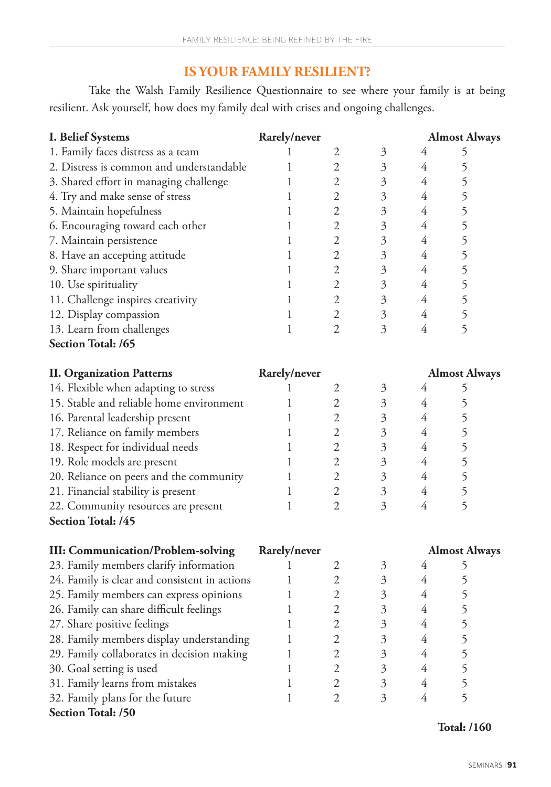# **IS YOUR FAMILY RESILIENT?**

Take the Walsh Family Resilience Questionnaire to see where your family is at being resilient. Ask yourself, how does my family deal with crises and ongoing challenges.

| <b>I. Belief Systems</b>                      | Rarely/never |                |                      |                      | <b>Almost Always</b> |  |
|-----------------------------------------------|--------------|----------------|----------------------|----------------------|----------------------|--|
| 1. Family faces distress as a team            |              | $\mathfrak{2}$ | 3                    | 4                    | 5                    |  |
| 2. Distress is common and understandable      | 1            | $\mathfrak{2}$ | $\mathfrak{Z}$       | 4                    | 5                    |  |
| 3. Shared effort in managing challenge        | 1            | $\overline{2}$ | $\mathfrak{Z}$       | 4                    | 5                    |  |
| 4. Try and make sense of stress               | 1            | $\overline{2}$ | $\mathfrak{Z}$       | 4                    | 5                    |  |
| 5. Maintain hopefulness                       | 1            | $\overline{2}$ | $\mathfrak{Z}$       | $\overline{4}$       | 5                    |  |
| 6. Encouraging toward each other              | 1            | $\overline{2}$ | $\mathfrak{Z}$       | 4                    | 5                    |  |
| 7. Maintain persistence                       | 1            | $\overline{2}$ | $\mathfrak{Z}$       | 4                    | 5                    |  |
| 8. Have an accepting attitude                 | 1            | $\overline{2}$ | $\mathfrak{Z}$       | 4                    | 5                    |  |
| 9. Share important values                     | 1            | $\mathfrak 2$  | $\mathfrak{Z}$       | $\overline{4}$       | 5                    |  |
| 10. Use spirituality                          | 1            | $\sqrt{2}$     | $\mathfrak{Z}$       | 4                    | 5                    |  |
| 11. Challenge inspires creativity             | 1            | $\sqrt{2}$     | $\mathfrak{Z}$       | 4                    | 5                    |  |
| 12. Display compassion                        | 1            | $\mathfrak{2}$ | $\mathfrak{Z}$       | 4                    | 5                    |  |
| 13. Learn from challenges                     | 1            | $\overline{2}$ | 3                    | $\overline{4}$       | 5                    |  |
| Section Total: /65                            |              |                |                      |                      |                      |  |
| <b>II. Organization Patterns</b>              | Rarely/never |                |                      | <b>Almost Always</b> |                      |  |
| 14. Flexible when adapting to stress          | 1            | $\mathfrak{2}$ | 3                    | 4                    | 5                    |  |
| 15. Stable and reliable home environment      | 1            | $\mathfrak{2}$ | $\mathfrak{Z}$       | 4                    | 5                    |  |
| 16. Parental leadership present               | 1            | $\mathfrak{2}$ | $\mathfrak{Z}$       | 4                    | 5                    |  |
| 17. Reliance on family members                | 1            | $\overline{2}$ | $\mathfrak{Z}$       | 4                    | 5                    |  |
| 18. Respect for individual needs              | 1            | $\mathfrak{2}$ | $\mathfrak{Z}$       | 4                    | 5                    |  |
| 19. Role models are present                   | 1            | $\overline{2}$ | $\mathfrak{Z}$       | 4                    | 5                    |  |
| 20. Reliance on peers and the community       | 1            | $\mathfrak 2$  | $\mathfrak{Z}$       | 4                    | 5                    |  |
| 21. Financial stability is present            | 1            | $\sqrt{2}$     | $\mathfrak{Z}$       | 4                    | 5                    |  |
| 22. Community resources are present           | 1            | $\overline{2}$ | 3                    | 4                    | 5                    |  |
| Section Total: /45                            |              |                |                      |                      |                      |  |
| <b>III: Communication/Problem-solving</b>     | Rarely/never |                | <b>Almost Always</b> |                      |                      |  |
| 23. Family members clarify information        | 1            | 2              | 3                    | 4                    | 5                    |  |
| 24. Family is clear and consistent in actions | 1            | $\mathfrak{2}$ | $\mathfrak{Z}$       | 4                    | 5                    |  |
| 25. Family members can express opinions       | 1            | $\mathfrak 2$  | $\mathfrak{Z}$       | 4                    | 5                    |  |
| 26. Family can share difficult feelings       | 1            | $\overline{2}$ | 3                    | 4                    | 5                    |  |
| 27. Share positive feelings                   | 1            | $\overline{c}$ | $\mathfrak{Z}$       | $\overline{4}$       | 5                    |  |
| 28. Family members display understanding      | 1            | $\mathfrak{2}$ | $\mathfrak{Z}$       | 4                    | 5                    |  |
| 29. Family collaborates in decision making    | 1            | $\mathfrak{2}$ | 3                    | $\overline{4}$       | 5                    |  |
| 30. Goal setting is used                      | 1            | $\mathfrak{2}$ | 3                    | $\overline{4}$       | 5                    |  |
| 31. Family learns from mistakes               | 1            | $\sqrt{2}$     | $\mathfrak{Z}$       | $\overline{4}$       | 5                    |  |
| 32. Family plans for the future               | 1            | $\mathfrak{2}$ | 3                    | 4                    | 5                    |  |
| <b>Section Total: /50</b>                     |              |                |                      |                      |                      |  |

 **Total: /160**